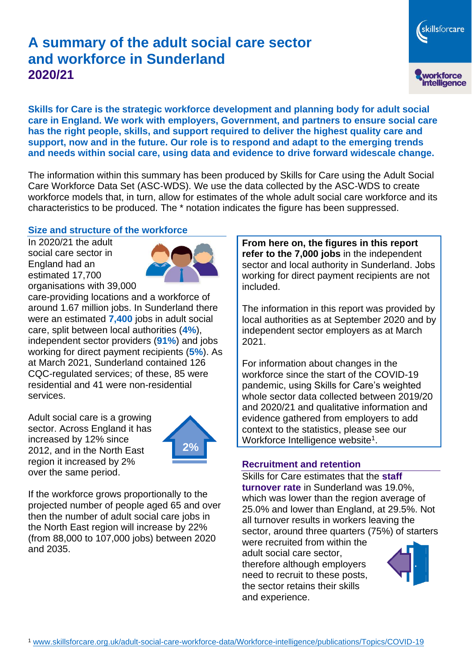# **A summary of the adult social care sector and workforce in Sunderland 2020/21**

**Skills for Care is the strategic workforce development and planning body for adult social care in England. We work with employers, Government, and partners to ensure social care has the right people, skills, and support required to deliver the highest quality care and support, now and in the future. Our role is to respond and adapt to the emerging trends and needs within social care, using data and evidence to drive forward widescale change.**

The information within this summary has been produced by Skills for Care using the Adult Social Care Workforce Data Set (ASC-WDS). We use the data collected by the ASC-WDS to create workforce models that, in turn, allow for estimates of the whole adult social care workforce and its characteristics to be produced. The \* notation indicates the figure has been suppressed.

## **Size and structure of the workforce**

In 2020/21 the adult social care sector in England had an estimated 17,700 organisations with 39,000



care-providing locations and a workforce of around 1.67 million jobs. In Sunderland there were an estimated **7,400** jobs in adult social care, split between local authorities (**4%**), independent sector providers (**91%**) and jobs working for direct payment recipients (**5%**). As at March 2021, Sunderland contained 126 CQC-regulated services; of these, 85 were residential and 41 were non-residential services.

Adult social care is a growing sector. Across England it has increased by 12% since 2012, and in the North East region it increased by 2% over the same period.



If the workforce grows proportionally to the projected number of people aged 65 and over then the number of adult social care jobs in the North East region will increase by 22% (from 88,000 to 107,000 jobs) between 2020 and 2035.

**From here on, the figures in this report refer to the 7,000 jobs** in the independent sector and local authority in Sunderland. Jobs working for direct payment recipients are not included.

The information in this report was provided by local authorities as at September 2020 and by independent sector employers as at March 2021.

For information about changes in the workforce since the start of the COVID-19 pandemic, using Skills for Care's weighted whole sector data collected between 2019/20 and 2020/21 and qualitative information and evidence gathered from employers to add context to the statistics, please see our Workforce Intelligence website<sup>1</sup>.

#### **Recruitment and retention**

Skills for Care estimates that the **staff turnover rate** in Sunderland was 19.0%, which was lower than the region average of 25.0% and lower than England, at 29.5%. Not all turnover results in workers leaving the sector, around three quarters (75%) of starters

were recruited from within the adult social care sector, therefore although employers need to recruit to these posts, the sector retains their skills and experience.



skillsforcare

workforce<br>intelligence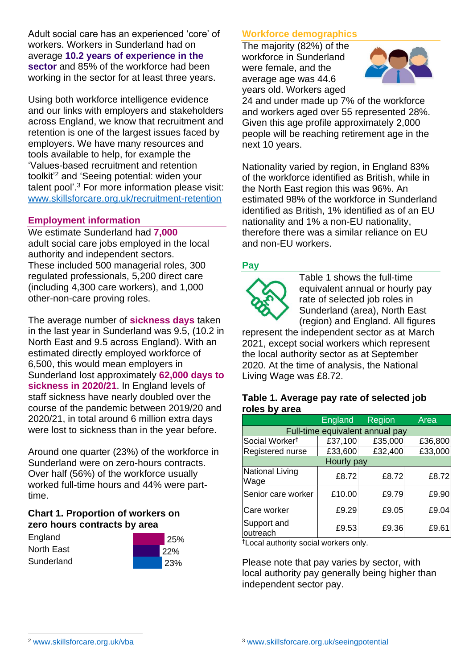Adult social care has an experienced 'core' of workers. Workers in Sunderland had on average **10.2 years of experience in the sector** and 85% of the workforce had been working in the sector for at least three years.

Using both workforce intelligence evidence and our links with employers and stakeholders across England, we know that recruitment and retention is one of the largest issues faced by employers. We have many resources and tools available to help, for example the 'Values-based recruitment and retention toolkit'<sup>2</sup> and 'Seeing potential: widen your talent pool'. <sup>3</sup> For more information please visit: [www.skillsforcare.org.uk/recruitment-retention](http://www.skillsforcare.org.uk/recruitment-retention)

## **Employment information**

We estimate Sunderland had **7,000** adult social care jobs employed in the local authority and independent sectors. These included 500 managerial roles, 300 regulated professionals, 5,200 direct care (including 4,300 care workers), and 1,000 other-non-care proving roles.

The average number of **sickness days** taken in the last year in Sunderland was 9.5, (10.2 in North East and 9.5 across England). With an estimated directly employed workforce of 6,500, this would mean employers in Sunderland lost approximately **62,000 days to sickness in 2020/21**. In England levels of staff sickness have nearly doubled over the course of the pandemic between 2019/20 and 2020/21, in total around 6 million extra days were lost to sickness than in the year before.

Around one quarter (23%) of the workforce in Sunderland were on zero-hours contracts. Over half (56%) of the workforce usually worked full-time hours and 44% were parttime.

## **Chart 1. Proportion of workers on zero hours contracts by area**

| England    | 25% |
|------------|-----|
| North East | 22% |
| Sunderland | 23% |

## **Workforce demographics**

The majority (82%) of the workforce in Sunderland were female, and the average age was 44.6 years old. Workers aged



24 and under made up 7% of the workforce and workers aged over 55 represented 28%. Given this age profile approximately 2,000 people will be reaching retirement age in the next 10 years.

Nationality varied by region, in England 83% of the workforce identified as British, while in the North East region this was 96%. An estimated 98% of the workforce in Sunderland identified as British, 1% identified as of an EU nationality and 1% a non-EU nationality, therefore there was a similar reliance on EU and non-EU workers.

## **Pay**



Table 1 shows the full-time equivalent annual or hourly pay rate of selected job roles in Sunderland (area), North East (region) and England. All figures

represent the independent sector as at March 2021, except social workers which represent the local authority sector as at September 2020. At the time of analysis, the National Living Wage was £8.72.

#### **Table 1. Average pay rate of selected job roles by area**

|                                 | <b>England</b> | Region  | Area    |
|---------------------------------|----------------|---------|---------|
| Full-time equivalent annual pay |                |         |         |
| Social Worker <sup>t</sup>      | £37,100        | £35,000 | £36,800 |
| Registered nurse                | £33,600        | £32,400 | £33,000 |
| Hourly pay                      |                |         |         |
| National Living<br>Wage         | £8.72          | £8.72   | £8.72   |
| Senior care worker              | £10.00         | £9.79   | £9.90   |
| Care worker                     | £9.29          | £9.05   | £9.04   |
| Support and<br>outreach         | £9.53          | £9.36   | £9.61   |

†Local authority social workers only.

Please note that pay varies by sector, with local authority pay generally being higher than independent sector pay.

[www.skillsforcare.org.uk/vba](http://www.skillsforcare.org.uk/vba)